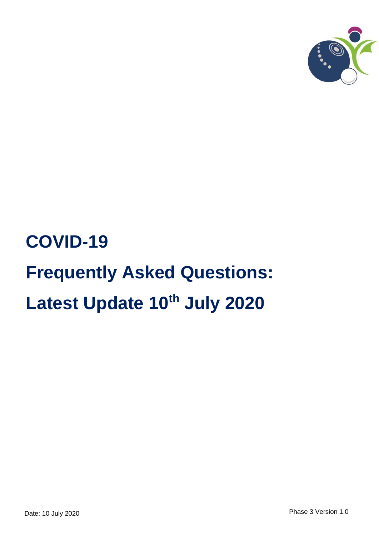

# **COVID-19 Frequently Asked Questions: Latest Update 10th July 2020**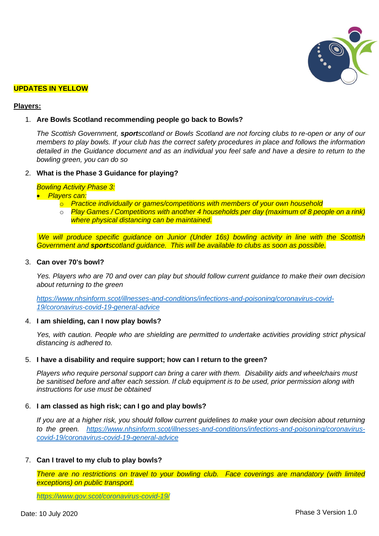

#### **UPDATES IN YELLOW**

#### **Players:**

#### 1. **Are Bowls Scotland recommending people go back to Bowls?**

*The Scottish Government, sportscotland or Bowls Scotland are not forcing clubs to re-open or any of our members to play bowls. If your club has the correct safety procedures in place and follows the information detailed in the Guidance document and as an individual you feel safe and have a desire to return to the bowling green, you can do so*

#### 2. **What is the Phase 3 Guidance for playing?**

*Bowling Activity Phase 3:*

• *Players can:*

- o *Practice individually or games/competitions with members of your own household*
- o *Play Games / Competitions with another 4 households per day (maximum of 8 people on a rink) where physical distancing can be maintained.*

*We will produce specific guidance on Junior (Under 16s) bowling activity in line with the Scottish Government and sportscotland guidance. This will be available to clubs as soon as possible.*

# 3. **Can over 70's bowl?**

*Yes. Players who are 70 and over can play but should follow current guidance to make their own decision about returning to the green* 

*[https://www.nhsinform.scot/illnesses-and-conditions/infections-and-poisoning/coronavirus-covid-](https://www.nhsinform.scot/illnesses-and-conditions/infections-and-poisoning/coronavirus-covid-19/coronavirus-covid-19-general-advice)[19/coronavirus-covid-19-general-advice](https://www.nhsinform.scot/illnesses-and-conditions/infections-and-poisoning/coronavirus-covid-19/coronavirus-covid-19-general-advice)*

#### 4. **I am shielding, can I now play bowls?**

*Yes, with caution. People who are shielding are permitted to undertake activities providing strict physical distancing is adhered to.*

#### 5. **I have a disability and require support; how can I return to the green?**

*Players who require personal support can bring a carer with them. Disability aids and wheelchairs must be sanitised before and after each session. If club equipment is to be used, prior permission along with instructions for use must be obtained*

#### 6. **I am classed as high risk; can I go and play bowls?**

*If you are at a higher risk, you should follow current guidelines to make your own decision about returning to the green. [https://www.nhsinform.scot/illnesses-and-conditions/infections-and-poisoning/coronavirus](https://www.nhsinform.scot/illnesses-and-conditions/infections-and-poisoning/coronavirus-covid-19/coronavirus-covid-19-general-advice)[covid-19/coronavirus-covid-19-general-advice](https://www.nhsinform.scot/illnesses-and-conditions/infections-and-poisoning/coronavirus-covid-19/coronavirus-covid-19-general-advice)*

#### 7. **Can I travel to my club to play bowls?**

*There are no restrictions on travel to your bowling club. Face coverings are mandatory (with limited exceptions) on public transport.*

*<https://www.gov.scot/coronavirus-covid-19/>*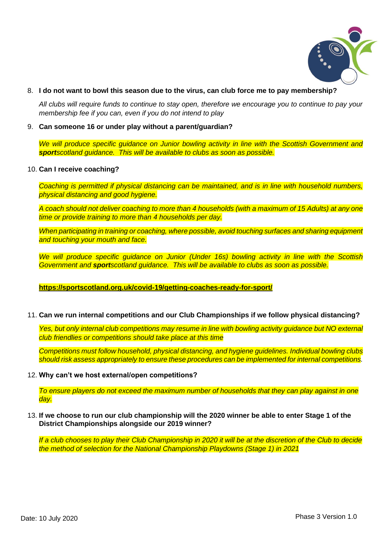

# 8. **I do not want to bowl this season due to the virus, can club force me to pay membership?**

*All clubs will require funds to continue to stay open, therefore we encourage you to continue to pay your membership fee if you can, even if you do not intend to play*

# 9. **Can someone 16 or under play without a parent/guardian?**

*We will produce specific guidance on Junior bowling activity in line with the Scottish Government and sportscotland guidance. This will be available to clubs as soon as possible.*

# 10. **Can I receive coaching?**

*Coaching is permitted if physical distancing can be maintained, and is in line with household numbers, physical distancing and good hygiene.* 

*A coach should not deliver coaching to more than 4 households (with a maximum of 15 Adults) at any one time or provide training to more than 4 households per day.* 

*When participating in training or coaching, where possible, avoid touching surfaces and sharing equipment and touching your mouth and face.*

*We will produce specific guidance on Junior (Under 16s) bowling activity in line with the Scottish Government and sportscotland guidance. This will be available to clubs as soon as possible.*

# **https://sportscotland.org.uk/covid-19/getting-coaches-ready-for-sport/**

11. **Can we run internal competitions and our Club Championships if we follow physical distancing?**

*Yes, but only internal club competitions may resume in line with bowling activity guidance but NO external club friendlies or competitions should take place at this time*

*Competitions must follow household, physical distancing, and hygiene guidelines. Individual bowling clubs should risk assess appropriately to ensure these procedures can be implemented for internal competitions.* 

#### 12. **Why can't we host external/open competitions?**

*To ensure players do not exceed the maximum number of households that they can play against in one day.* 

13. **If we choose to run our club championship will the 2020 winner be able to enter Stage 1 of the District Championships alongside our 2019 winner?**

*If a club chooses to play their Club Championship in 2020 it will be at the discretion of the Club to decide the method of selection for the National Championship Playdowns (Stage 1) in 2021*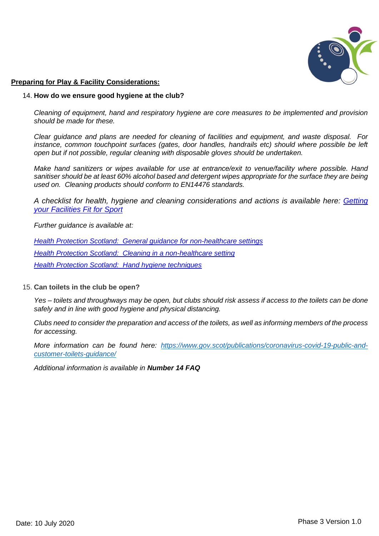

# **Preparing for Play & Facility Considerations:**

# 14. **How do we ensure good hygiene at the club?**

*Cleaning of equipment, hand and respiratory hygiene are core measures to be implemented and provision should be made for these.* 

*Clear guidance and plans are needed for cleaning of facilities and equipment, and waste disposal. For*  instance, common touchpoint surfaces (gates, door handles, handrails etc) should where possible be left *open but if not possible, regular cleaning with disposable gloves should be undertaken.*

*Make hand sanitizers or wipes available for use at entrance/exit to venue/facility where possible. Hand sanitiser should be at least 60% alcohol based and detergent wipes appropriate for the surface they are being used on. Cleaning products should conform to EN14476 standards.*

*A checklist for health, hygiene and cleaning considerations and actions is available here: [Getting](http://www.sportscotland.org.uk/covid-19/getting-your-facilities-fit-for-sport/)  [your Facilities Fit for Sport](http://www.sportscotland.org.uk/covid-19/getting-your-facilities-fit-for-sport/)*

*Further guidance is available at:*

*[Health Protection Scotland: General guidance for non-healthcare settings](http://www.hps.scot.nhs.uk/web-resources-container/covid-19-guidance-for-non-healthcare-settings/) [Health Protection Scotland: Cleaning in a non-healthcare setting](http://www.gov.uk/government/publications/covid-19-decontamination-in-non-healthcare-settings/covid-19-decontamination-in-non-healthcare-settings) [Health Protection Scotland: Hand hygiene techniques](http://www.hps.scot.nhs.uk/a-to-z-of-topics/hand-hygiene/)*

# 15. **Can toilets in the club be open?**

*Yes – toilets and throughways may be open, but clubs should risk assess if access to the toilets can be done safely and in line with good hygiene and physical distancing.*

*Clubs need to consider the preparation and access of the toilets, as well as informing members of the process for accessing.* 

*More information can be found here: [https://www.gov.scot/publications/coronavirus-covid-19-public-and](https://www.gov.scot/publications/coronavirus-covid-19-public-and-customer-toilets-guidance/)[customer-toilets-guidance/](https://www.gov.scot/publications/coronavirus-covid-19-public-and-customer-toilets-guidance/)*

*Additional information is available in Number 14 FAQ*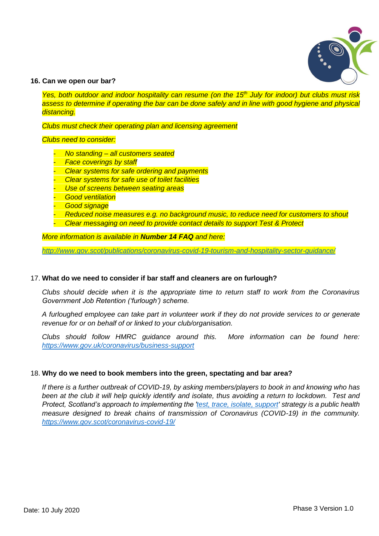

# **16. Can we open our bar?**

*Yes, both outdoor and indoor hospitality can resume (on the 15th July for indoor) but clubs must risk*  assess to determine if operating the bar can be done safely and in line with good hygiene and physical *distancing.* 

*Clubs must check their operating plan and licensing agreement*

*Clubs need to consider:*

- *No standing – all customers seated*
- **Face coverings by staff**
- *Clear systems for safe ordering and payments*
- *Clear systems for safe use of toilet facilities*
- *Use of screens between seating areas*
- *Good ventilation*
- *Good signage*
- *Reduced noise measures e.g. no background music, to reduce need for customers to shout*
- *Clear messaging on need to provide contact details to support Test & Protect*

*More information is available in Number 14 FAQ and here:*

*<http://www.gov.scot/publications/coronavirus-covid-19-tourism-and-hospitality-sector-guidance/>*

# 17. **What do we need to consider if bar staff and cleaners are on furlough?**

*Clubs should decide when it is the appropriate time to return staff to work from the Coronavirus Government Job Retention ('furlough') scheme.*

*A furloughed employee can take part in volunteer work if they do not provide services to or generate revenue for or on behalf of or linked to your club/organisation.*

*Clubs should follow HMRC guidance around this. More information can be found here: <https://www.gov.uk/coronavirus/business-support>*

# 18. **Why do we need to book members into the green, spectating and bar area?**

*If there is a further outbreak of COVID-19, by asking members/players to book in and knowing who has been at the club it will help quickly identify and isolate, thus avoiding a return to lockdown. Test and Protect, Scotland's approach to implementing the ['test, trace, isolate, support](https://www.gov.scot/publications/coronavirus-covid-19-test-trace-isolate-support/pages/3/)' strategy is a public health measure designed to break chains of transmission of Coronavirus (COVID-19) in the community. <https://www.gov.scot/coronavirus-covid-19/>*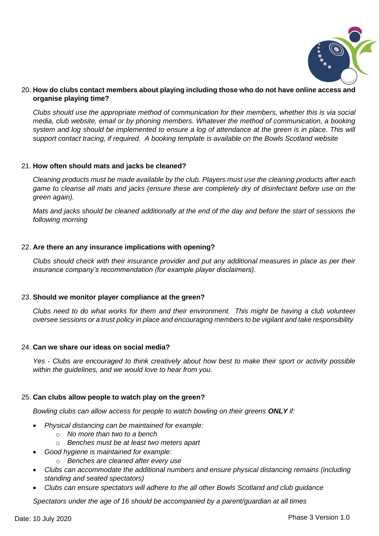

# 20. **How do clubs contact members about playing including those who do not have online access and organise playing time?**

*Clubs should use the appropriate method of communication for their members, whether this is via social media, club website, email or by phoning members. Whatever the method of communication, a booking system and log should be implemented to ensure a log of attendance at the green is in place. This will support contact tracing, if required. A booking template is available on the Bowls Scotland website*

# 21. **How often should mats and jacks be cleaned?**

*Cleaning products must be made available by the club. Players must use the cleaning products after each game to cleanse all mats and jacks (ensure these are completely dry of disinfectant before use on the green again).*

*Mats and jacks should be cleaned additionally at the end of the day and before the start of sessions the following morning*

# 22. **Are there an any insurance implications with opening?**

*Clubs should check with their insurance provider and put any additional measures in place as per their insurance company's recommendation (for example player disclaimers).*

# 23. **Should we monitor player compliance at the green?**

*Clubs need to do what works for them and their environment. This might be having a club volunteer oversee sessions or a trust policy in place and encouraging members to be vigilant and take responsibility*

# 24. **Can we share our ideas on social media?**

*Yes - Clubs are encouraged to think creatively about how best to make their sport or activity possible within the guidelines, and we would love to hear from you.* 

# 25. **Can clubs allow people to watch play on the green?**

*Bowling clubs can allow access for people to watch bowling on their greens ONLY if:*

- *Physical distancing can be maintained for example:*
	- o *No more than two to a bench*
	- o *Benches must be at least two meters apart*
- *Good hygiene is maintained for example:*
	- o *Benches are cleaned after every use*
- *Clubs can accommodate the additional numbers and ensure physical distancing remains (including standing and seated spectators)*
- *Clubs can ensure spectators will adhere to the all other Bowls Scotland and club guidance*

*Spectators under the age of 16 should be accompanied by a parent/guardian at all times*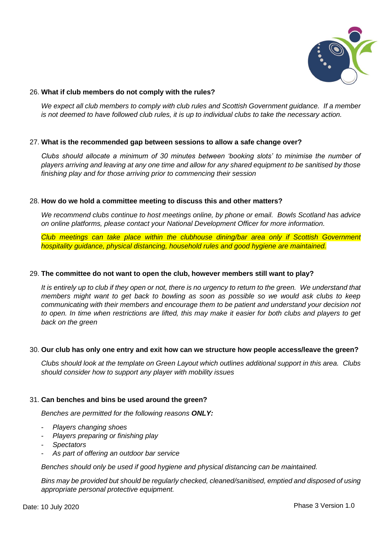

# 26. **What if club members do not comply with the rules?**

*We expect all club members to comply with club rules and Scottish Government guidance. If a member is not deemed to have followed club rules, it is up to individual clubs to take the necessary action.*

# 27. **What is the recommended gap between sessions to allow a safe change over?**

*Clubs should allocate a minimum of 30 minutes between 'booking slots' to minimise the number of players arriving and leaving at any one time and allow for any shared equipment to be sanitised by those finishing play and for those arriving prior to commencing their session*

# 28. **How do we hold a committee meeting to discuss this and other matters?**

*We recommend clubs continue to host meetings online, by phone or email. Bowls Scotland has advice on online platforms, please contact your National Development Officer for more information.*

*Club meetings can take place within the clubhouse dining/bar area only if Scottish Government hospitality guidance, physical distancing, household rules and good hygiene are maintained.* 

# 29. **The committee do not want to open the club, however members still want to play?**

*It is entirely up to club if they open or not, there is no urgency to return to the green. We understand that members might want to get back to bowling as soon as possible so we would ask clubs to keep communicating with their members and encourage them to be patient and understand your decision not to open. In time when restrictions are lifted, this may make it easier for both clubs and players to get back on the green*

# 30. **Our club has only one entry and exit how can we structure how people access/leave the green?**

*Clubs should look at the template on Green Layout which outlines additional support in this area. Clubs should consider how to support any player with mobility issues*

# 31. **Can benches and bins be used around the green?**

*Benches are permitted for the following reasons ONLY:*

- *Players changing shoes*
- *Players preparing or finishing play*
- *Spectators*
- *As part of offering an outdoor bar service*

*Benches should only be used if good hygiene and physical distancing can be maintained.*

*Bins may be provided but should be regularly checked, cleaned/sanitised, emptied and disposed of using appropriate personal protective equipment.*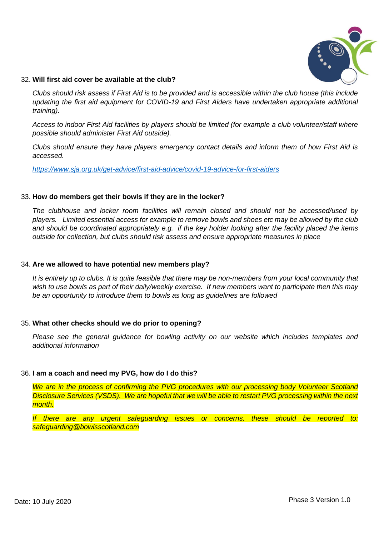

# 32. **Will first aid cover be available at the club?**

*Clubs should risk assess if First Aid is to be provided and is accessible within the club house (this include updating the first aid equipment for COVID-19 and First Aiders have undertaken appropriate additional training).*

*Access to indoor First Aid facilities by players should be limited (for example a club volunteer/staff where possible should administer First Aid outside).*

*Clubs should ensure they have players emergency contact details and inform them of how First Aid is accessed.*

*<https://www.sja.org.uk/get-advice/first-aid-advice/covid-19-advice-for-first-aiders>*

# 33. **How do members get their bowls if they are in the locker?**

*The clubhouse and locker room facilities will remain closed and should not be accessed/used by players. Limited essential access for example to remove bowls and shoes etc may be allowed by the club and should be coordinated appropriately e.g. if the key holder looking after the facility placed the items outside for collection, but clubs should risk assess and ensure appropriate measures in place*

# 34. **Are we allowed to have potential new members play?**

*It is entirely up to clubs. It is quite feasible that there may be non-members from your local community that wish to use bowls as part of their daily/weekly exercise. If new members want to participate then this may be an opportunity to introduce them to bowls as long as guidelines are followed*

# 35. **What other checks should we do prior to opening?**

*Please see the general guidance for bowling activity on our website which includes templates and additional information*

# 36. **I am a coach and need my PVG, how do I do this?**

*We are in the process of confirming the PVG procedures with our processing body Volunteer Scotland Disclosure Services (VSDS). We are hopeful that we will be able to restart PVG processing within the next month.* 

*If there are any urgent safeguarding issues or concerns, these should be reported to: safeguarding@bowlsscotland.com*